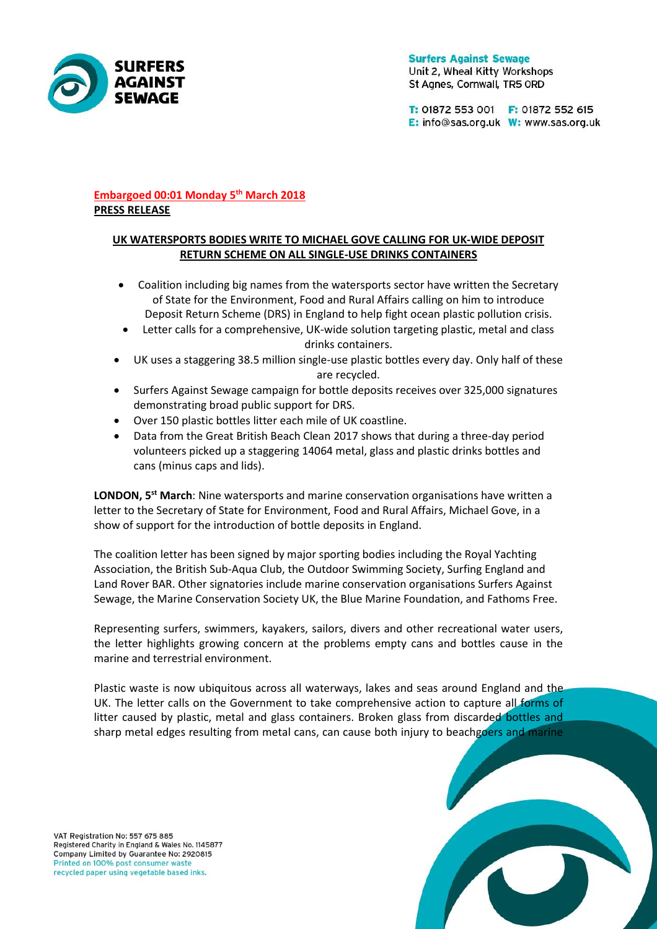

**Surfers Against Sewage** Unit 2, Wheal Kitty Workshops St Agnes, Cornwall, TR5 ORD

T: 01872 553 001 F: 01872 552 615 E: info@sas.org.uk W: www.sas.org.uk

# **Embargoed 00:01 Monday 5 th March 2018 PRESS RELEASE**

# **UK WATERSPORTS BODIES WRITE TO MICHAEL GOVE CALLING FOR UK-WIDE DEPOSIT RETURN SCHEME ON ALL SINGLE-USE DRINKS CONTAINERS**

- Coalition including big names from the watersports sector have written the Secretary of State for the Environment, Food and Rural Affairs calling on him to introduce Deposit Return Scheme (DRS) in England to help fight ocean plastic pollution crisis.
- Letter calls for a comprehensive, UK-wide solution targeting plastic, metal and class drinks containers.
- UK uses a staggering 38.5 million single-use plastic bottles every day. Only half of these are recycled.
- Surfers Against Sewage campaign for bottle deposits receives over 325,000 signatures demonstrating broad public support for DRS.
- Over 150 plastic bottles litter each mile of UK coastline.
- Data from the Great British Beach Clean 2017 shows that during a three-day period volunteers picked up a staggering 14064 metal, glass and plastic drinks bottles and cans (minus caps and lids).

LONDON, 5<sup>st</sup> March: Nine watersports and marine conservation organisations have written a letter to the Secretary of State for Environment, Food and Rural Affairs, Michael Gove, in a show of support for the introduction of bottle deposits in England.

The coalition letter has been signed by major sporting bodies including the Royal Yachting Association, the British Sub-Aqua Club, the Outdoor Swimming Society, Surfing England and Land Rover BAR. Other signatories include marine conservation organisations Surfers Against Sewage, the Marine Conservation Society UK, the Blue Marine Foundation, and Fathoms Free.

Representing surfers, swimmers, kayakers, sailors, divers and other recreational water users, the letter highlights growing concern at the problems empty cans and bottles cause in the marine and terrestrial environment.

Plastic waste is now ubiquitous across all waterways, lakes and seas around England and the UK. The letter calls on the Government to take comprehensive action to capture all forms of litter caused by plastic, metal and glass containers. Broken glass from discarded bottles and sharp metal edges resulting from metal cans, can cause both injury to beachgoers and marine

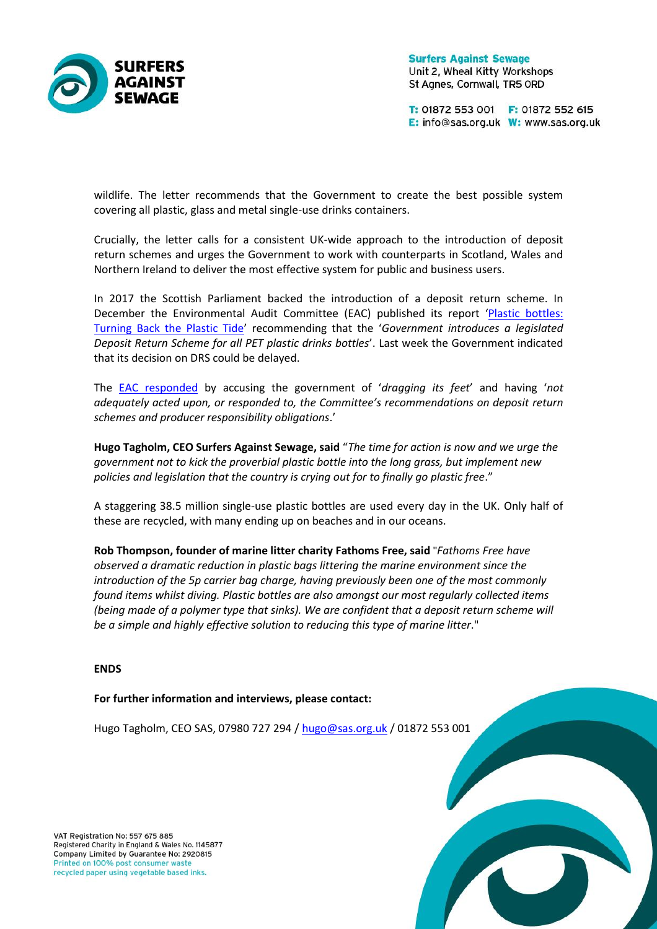

**Surfers Against Sewage** Unit 2, Wheal Kitty Workshops St Agnes, Cornwall, TR5 ORD

T: 01872 553 001 F: 01872 552 615 E: info@sas.org.uk W: www.sas.org.uk

wildlife. The letter recommends that the Government to create the best possible system covering all plastic, glass and metal single-use drinks containers.

Crucially, the letter calls for a consistent UK-wide approach to the introduction of deposit return schemes and urges the Government to work with counterparts in Scotland, Wales and Northern Ireland to deliver the most effective system for public and business users.

In 2017 the Scottish Parliament backed the introduction of a deposit return scheme. In December the Environmental Audit Committee (EAC) published its report '[Plastic bottles:](https://publications.parliament.uk/pa/cm201719/cmselect/cmenvaud/339/339.pdf)  [Turning Back the Plastic Tide](https://publications.parliament.uk/pa/cm201719/cmselect/cmenvaud/339/339.pdf)' recommending that the '*Government introduces a legislated Deposit Return Scheme for all PET plastic drinks bottles*'. Last week the Government indicated that its decision on DRS could be delayed.

The [EAC responded](http://www.parliament.uk/business/committees/committees-a-z/commons-select/environmental-audit-committee/news-parliament-2017/plastic-cups-government-response-17-19/) by accusing the government of '*dragging its feet*' and having '*not adequately acted upon, or responded to, the Committee's recommendations on deposit return schemes and producer responsibility obligations*.'

**Hugo Tagholm, CEO Surfers Against Sewage, said** "*The time for action is now and we urge the government not to kick the proverbial plastic bottle into the long grass, but implement new policies and legislation that the country is crying out for to finally go plastic free*."

A staggering 38.5 million single-use plastic bottles are used every day in the UK. Only half of these are recycled, with many ending up on beaches and in our oceans.

**Rob Thompson, founder of marine litter charity Fathoms Free, said** "*Fathoms Free have observed a dramatic reduction in plastic bags littering the marine environment since the introduction of the 5p carrier bag charge, having previously been one of the most commonly found items whilst diving. Plastic bottles are also amongst our most regularly collected items (being made of a polymer type that sinks). We are confident that a deposit return scheme will be a simple and highly effective solution to reducing this type of marine litter*."

### **ENDS**

#### **For further information and interviews, please contact:**

Hugo Tagholm, CEO SAS, 07980 727 294 / [hugo@sas.org.uk](mailto:hugo@sas.org.uk) / 01872 553 001